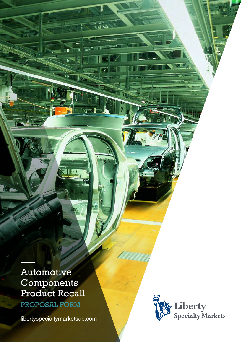Automotive **Components** Product Recall

–––

PROPOSAL FORM

[libertyspecialtymarketsap.com](https://www.libertyspecialtymarketsap.com/)

nin

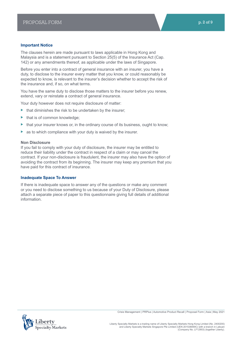## **Important Notice**

The clauses herein are made pursuant to laws applicable in Hong Kong and Malaysia and is a statement pursuant to Section 25(5) of the Insurance Act (Cap. 142) or any amendments thereof, as applicable under the laws of Singapore.

Before you enter into a contract of general insurance with an insurer, you have a duty, to disclose to the insurer every matter that you know, or could reasonably be expected to know, is relevant to the insurer's decision whether to accept the risk of the insurance and, if so, on what terms.

You have the same duty to disclose those matters to the insurer before you renew, extend, vary or reinstate a contract of general insurance.

Your duty however does not require disclosure of matter:

- $\blacktriangleright$  that diminishes the risk to be undertaken by the insurer;
- $\blacktriangleright$  that is of common knowledge;
- $\blacktriangleright$  that your insurer knows or, in the ordinary course of its business, ought to know;
- as to which compliance with your duty is waived by the insurer.

## **Non Disclosure**

If you fail to comply with your duty of disclosure, the insurer may be entitled to reduce their liability under the contract in respect of a claim or may cancel the contract. If your non-disclosure is fraudulent, the insurer may also have the option of avoiding the contract from its beginning. The insurer may keep any premium that you have paid for this contract of insurance.

## **Inadequate Space To Answer**

If there is inadequate space to answer any of the questions or make any comment or you need to disclose something to us because of your Duty of Disclosure, please attach a separate piece of paper to this questionnaire giving full details of additional information.



Crisis Management | PRPlus | Automotive Product Recall | Proposal Form | Asia | May 2021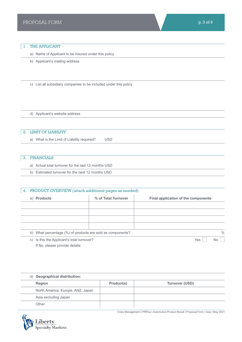## 1. THE APPLICANT

a) Name of Applicant to be insured under this policy

b) Applicant's mailing address

c) List all subsidiary companies to be included under this policy

d) Applicant's website address

# 2. LIMIT OF LIABILITY

a) What is the Limit of Liability required? USD

# 3. FINANCIALS

a) Actual total turnover for the last 12 months USD

b) Estimated turnover for the next 12 months USD

# 4. PRODUCT OVERVIEW (attach additional pages as needed) a) **Products % of Total Turnover Final application of the components** b) What percentage (%) of products are sold as components?  $\%$

c) Is this the Applicant's total turnover? No was not all the Ves No was not well as No No No No No No No No No If No, please provide details:

| d) Geographical distribution:     |            |                |  |  |
|-----------------------------------|------------|----------------|--|--|
| <b>Region</b>                     | Product(s) | Turnover (USD) |  |  |
| North America, Europe, ANZ, Japan |            |                |  |  |
| Asia excluding Japan              |            |                |  |  |
| Other                             |            |                |  |  |



Crisis Management | PRPlus | Automotive Product Recall | Proposal Form | Asia | May 2021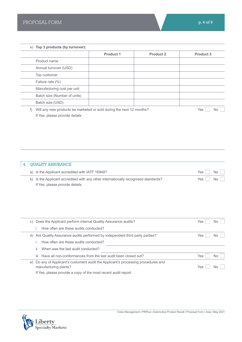|    |    | e) Top 3 products (by turnover):                                                                                                                                           |                  |                  |                  |           |
|----|----|----------------------------------------------------------------------------------------------------------------------------------------------------------------------------|------------------|------------------|------------------|-----------|
|    |    |                                                                                                                                                                            | <b>Product 1</b> | <b>Product 2</b> | <b>Product 3</b> |           |
|    |    | Product name                                                                                                                                                               |                  |                  |                  |           |
|    |    | Annual turnover (USD)                                                                                                                                                      |                  |                  |                  |           |
|    |    | Top customer                                                                                                                                                               |                  |                  |                  |           |
|    |    | Failure rate (%)                                                                                                                                                           |                  |                  |                  |           |
|    |    | Manufacturing cost per unit                                                                                                                                                |                  |                  |                  |           |
|    |    | Batch size (Number of units)                                                                                                                                               |                  |                  |                  |           |
|    |    | Batch size (USD)                                                                                                                                                           |                  |                  |                  |           |
|    | f) | Will any new products be marketed or sold during the next 12 months?                                                                                                       |                  |                  | Yes              | No        |
|    |    |                                                                                                                                                                            |                  |                  |                  |           |
| 4. |    | <b>QUALITY ASSURANCE</b>                                                                                                                                                   |                  |                  |                  |           |
|    |    | a) Is the Applicant accredited with IATF 16949?                                                                                                                            |                  |                  | Yes              | No        |
|    |    | b) Is the Applicant accredited with any other internationally recognised standards?<br>If Yes, please provide details                                                      |                  |                  | Yes              | <b>No</b> |
|    |    | c) Does the Applicant perform internal Quality Assurance audits?                                                                                                           |                  |                  | Yes              | No        |
|    |    | How often are these audits conducted?                                                                                                                                      |                  |                  |                  |           |
|    |    | d) Are Quality Assurance audits performed by independent third party parties?                                                                                              |                  |                  | Yes              | No        |
|    |    | How often are these audits conducted?                                                                                                                                      |                  |                  |                  |           |
|    | Ϊİ | When was the last audit conducted?                                                                                                                                         |                  |                  |                  |           |
|    |    | Have all non-conformances from the last audit been closed out?<br>Ш                                                                                                        |                  |                  | Yes              | No        |
|    | e) | Do any of Applicant's customers audit the Applicant's processing procedures and<br>manufacturing plants?<br>If Yes, please provide a copy of the most recent audit report. |                  |                  | Yes              | No.       |

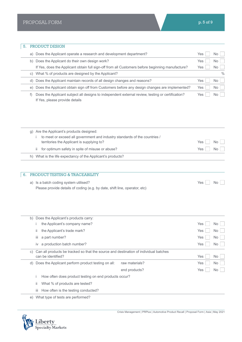| 5. |    | PRODUCT DESIGN                                                                                                                                                        |     |    |
|----|----|-----------------------------------------------------------------------------------------------------------------------------------------------------------------------|-----|----|
|    | a) | Does the Applicant operate a research and development department?                                                                                                     | Yes | No |
|    | b) | Does the Applicant do their own design work?                                                                                                                          | Yes | No |
|    |    | If Yes, does the Applicant obtain full sign-off from all Customers before beginning manufacture?                                                                      | Yes | No |
|    | C) | What % of products are designed by the Applicant?                                                                                                                     |     | %  |
|    | d) | Does the Applicant maintain records of all design changes and reasons?                                                                                                | Yes | No |
|    | e) | Does the Applicant obtain sign off from Customers before any design changes are implemented?                                                                          | Yes | No |
|    | f) | Does the Applicant subject all designs to independent external review, testing or certification?<br>If Yes, please provide details                                    | Yes | No |
|    |    | g) Are the Applicant's products designed:<br>to meet or exceed all government and industry standards of the countries /<br>territories the Applicant is supplying to? | Yes | No |
|    |    | for optimum safety in spite of misuse or abuse?<br>ii                                                                                                                 | Yes | No |
|    |    | h) What is the life expectancy of the Applicant's products?                                                                                                           |     |    |
| 6. |    | PRODUCT TESTING & TRACEABILITY<br>a) Is a batch coding system utilised?<br>Please provide details of coding (e.g. by date, shift line, operator, etc)                 | Yes | No |
|    |    | b) Does the Applicant's products carry:<br>the Applicant's company name?                                                                                              | Yes | No |
|    |    | the Applicant's trade mark?<br>Ïİ                                                                                                                                     | Yes | No |
|    |    | a part number?<br>ΪİΙ                                                                                                                                                 | Yes | No |
|    |    | a production batch number?<br>IV                                                                                                                                      | Yes | No |
|    | C) | Can all products be tracked so that the source and destination of individual batches                                                                                  |     |    |
|    |    | can be identified?                                                                                                                                                    | Yes | No |
|    | d) | Does the Applicant perform product testing on all:<br>raw materials?                                                                                                  | Yes | No |
|    |    | end products?                                                                                                                                                         | Yes | No |
|    |    | How often does product testing on end products occur?<br>j.                                                                                                           |     |    |
|    |    | What % of products are tested?<br>Ϊİ                                                                                                                                  |     |    |
|    |    | How often is the testing conducted?<br>Ш                                                                                                                              |     |    |
|    | e) | What type of tests are performed?                                                                                                                                     |     |    |

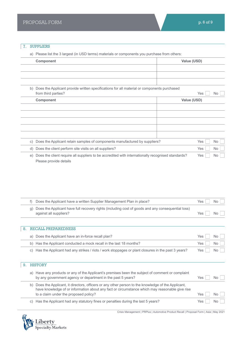# 7. SUPPLIERS

a) Please list the 3 largest (in USD terms) materials or components you purchase from others:

|           | <b>Component</b>                                                                                  | Value (USD) |
|-----------|---------------------------------------------------------------------------------------------------|-------------|
|           |                                                                                                   |             |
|           |                                                                                                   |             |
|           |                                                                                                   |             |
| b)        | Does the Applicant provide written specifications for all material or components purchased        |             |
|           | from third parties?                                                                               | Yes<br>No   |
|           | Component                                                                                         | Value (USD) |
|           |                                                                                                   |             |
|           |                                                                                                   |             |
|           |                                                                                                   |             |
|           |                                                                                                   |             |
|           |                                                                                                   |             |
|           |                                                                                                   | Yes         |
| $\circ$ ) | Does the Applicant retain samples of components manufactured by suppliers?                        | No.         |
| d)        | Does the client perform site visits on all suppliers?                                             | Yes<br>No.  |
| e)        | Does the client require all suppliers to be accredited with internationally recognised standards? | Yes<br>No.  |
|           | Please provide details                                                                            |             |

| Does the Applicant have a written Supplier Management Plan in place?                                                           | Yes  | No  |
|--------------------------------------------------------------------------------------------------------------------------------|------|-----|
| g) Does the Applicant have full recovery rights (including cost of goods and any consequential loss)<br>against all suppliers? | Yes. | No. |
|                                                                                                                                |      |     |

## 8. RECALL PREPAREDNESS

| a) Does the Applicant have an in-force recall plan?                                                  | $Yes \nightharpoonup No \nightharpoonup$ |
|------------------------------------------------------------------------------------------------------|------------------------------------------|
| b) Has the Applicant conducted a mock recall in the last 18 months?                                  | Yes $\Box$ No $\Box$                     |
| c) Has the Applicant had any strikes / riots / work stoppages or plant closures in the past 3 years? | Yes $\Box$ No $\Box$                     |

# 9. HISTORY

|    | a) Have any products or any of the Applicant's premises been the subject of comment or complaint<br>by any government agency or department in the past 5 years?                                                                              | Yes |     |
|----|----------------------------------------------------------------------------------------------------------------------------------------------------------------------------------------------------------------------------------------------|-----|-----|
| b) | Does the Applicant, it directors, officers or any other person to the knowledge of the Applicant,<br>have knowledge of or information about any fact or circumstance which may reasonable give rise<br>to a claim under the proposed policy? | Yes | No. |
|    | c) Has the Applicant had any statutory fines or penalties during the last 5 years?                                                                                                                                                           | Yes | No. |



Crisis Management | PRPlus | Automotive Product Recall | Proposal Form | Asia | May 2021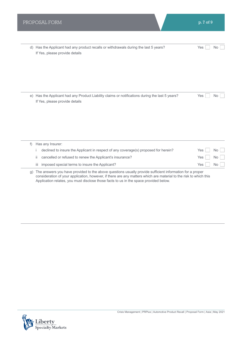| d) | Has the Applicant had any product recalls or withdrawals during the last 5 years?<br>If Yes, please provide details            | Yes | No.       |
|----|--------------------------------------------------------------------------------------------------------------------------------|-----|-----------|
| e) | Has the Applicant had any Product Liability claims or notifications during the last 5 years?<br>If Yes, please provide details | Yes | No.       |
| f) | Has any Insurer:                                                                                                               |     |           |
|    | declined to insure the Applicant in respect of any coverage(s) proposed for herein?                                            | Yes | <b>No</b> |
|    | cancelled or refused to renew the Applicant's insurance?<br>ii                                                                 | Yes | <b>No</b> |
|    | imposed special terms to insure the Applicant?<br>iіі                                                                          | Yes | No        |
|    |                                                                                                                                |     |           |

g) The answers you have provided to the above questions usually provide sufficient information for a proper consideration of your application, however, if there are any matters which are material to the risk to which this Application relates, you must disclose those facts to us in the space provided below.

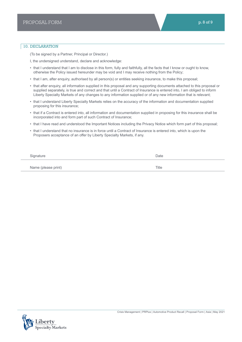## 10. DECLARATION

(To be signed by a Partner, Principal or Director.)

- I, the undersigned understand, declare and acknowledge:
- that I understand that I am to disclose in this form, fully and faithfully, all the facts that I know or ought to know, otherwise the Policy issued hereunder may be void and I may receive nothing from the Policy;
- that I am, after enquiry, authorised by all person(s) or entities seeking insurance, to make this proposal;
- that after enquiry, all information supplied in this proposal and any supporting documents attached to this proposal or supplied separately, is true and correct and that until a Contract of Insurance is entered into, I am obliged to inform Liberty Specialty Markets of any changes to any information supplied or of any new information that is relevant;
- that I understand Liberty Specialty Markets relies on the accuracy of the information and documentation supplied proposing for this insurance;
- that if a Contract is entered into, all information and documentation supplied in proposing for this insurance shall be incorporated into and form part of such Contract of Insurance;
- that I have read and understood the Important Notices including the Privacy Notice which form part of this proposal;
- that I understand that no insurance is in force until a Contract of Insurance is entered into, which is upon the Proposers acceptance of an offer by Liberty Specialty Markets, if any.

| Signature           | Date  |
|---------------------|-------|
| Name (please print) | Title |